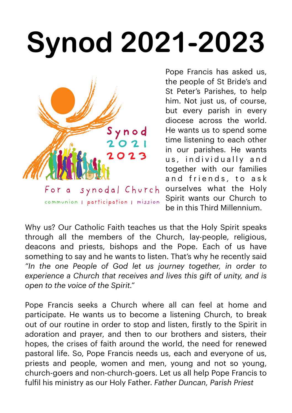## **Synod 2021-2023**



Pope Francis has asked us, the people of St Bride's and St Peter's Parishes, to help him. Not just us, of course, but every parish in every diocese across the world. He wants us to spend some time listening to each other in our parishes. He wants us, individually and together with our families and friends, to ask ourselves what the Holy Spirit wants our Church to be in this Third Millennium.

Why us? Our Catholic Faith teaches us that the Holy Spirit speaks through all the members of the Church, lay-people, religious, deacons and priests, bishops and the Pope. Each of us have something to say and he wants to listen. That's why he recently said *"In the one People of God let us journey together, in order to experience a Church that receives and lives this gift of unity, and is open to the voice of the Spirit."*

Pope Francis seeks a Church where all can feel at home and participate. He wants us to become a listening Church, to break out of our routine in order to stop and listen, firstly to the Spirit in adoration and prayer, and then to our brothers and sisters, their hopes, the crises of faith around the world, the need for renewed pastoral life. So, Pope Francis needs us, each and everyone of us, priests and people, women and men, young and not so young, church-goers and non-church-goers. Let us all help Pope Francis to fulfil his ministry as our Holy Father. *Father Duncan, Parish Priest*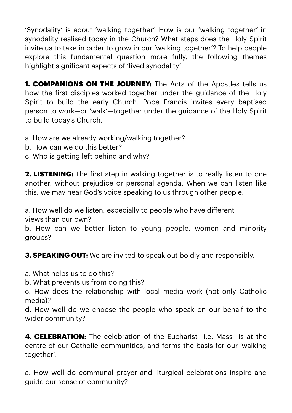'Synodality' is about 'walking together'. How is our 'walking together' in synodality realised today in the Church? What steps does the Holy Spirit invite us to take in order to grow in our 'walking together'? To help people explore this fundamental question more fully, the following themes highlight significant aspects of 'lived synodality':

**1. COMPANIONS ON THE JOURNEY:** The Acts of the Apostles tells us how the first disciples worked together under the guidance of the Holy Spirit to build the early Church. Pope Francis invites every baptised person to work—or 'walk'—together under the guidance of the Holy Spirit to build today's Church.

a. How are we already working/walking together?

- b. How can we do this better?
- c. Who is getting left behind and why?

**2. LISTENING:** The first step in walking together is to really listen to one another, without prejudice or personal agenda. When we can listen like this, we may hear God's voice speaking to us through other people.

a. How well do we listen, especially to people who have different views than our own?

b. How can we better listen to young people, women and minority groups?

**3. SPEAKING OUT:** We are invited to speak out boldly and responsibly.

a. What helps us to do this?

b. What prevents us from doing this?

c. How does the relationship with local media work (not only Catholic media)?

d. How well do we choose the people who speak on our behalf to the wider community?

**4. CELEBRATION:** The celebration of the Fucharist—i.e. Mass—is at the centre of our Catholic communities, and forms the basis for our 'walking together'.

a. How well do communal prayer and liturgical celebrations inspire and guide our sense of community?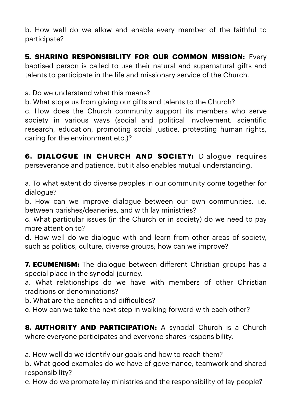b. How well do we allow and enable every member of the faithful to participate?

**5. SHARING RESPONSIBILITY FOR OUR COMMON MISSION: Every** baptised person is called to use their natural and supernatural gifts and talents to participate in the life and missionary service of the Church.

a. Do we understand what this means?

b. What stops us from giving our gifts and talents to the Church?

c. How does the Church community support its members who serve society in various ways (social and political involvement, scientific research, education, promoting social justice, protecting human rights, caring for the environment etc.)?

**6. DIALOGUE IN CHURCH AND SOCIETY:** Dialogue requires perseverance and patience, but it also enables mutual understanding.

a. To what extent do diverse peoples in our community come together for dialogue?

b. How can we improve dialogue between our own communities, i.e. between parishes/deaneries, and with lay ministries?

c. What particular issues (in the Church or in society) do we need to pay more attention to?

d. How well do we dialogue with and learn from other areas of society, such as politics, culture, diverse groups; how can we improve?

**7. ECUMENISM:** The dialogue between different Christian groups has a special place in the synodal journey.

a. What relationships do we have with members of other Christian traditions or denominations?

b. What are the benefits and difficulties?

c. How can we take the next step in walking forward with each other?

**8. AUTHORITY AND PARTICIPATION:** A synodal Church is a Church where everyone participates and everyone shares responsibility.

a. How well do we identify our goals and how to reach them?

b. What good examples do we have of governance, teamwork and shared responsibility?

c. How do we promote lay ministries and the responsibility of lay people?